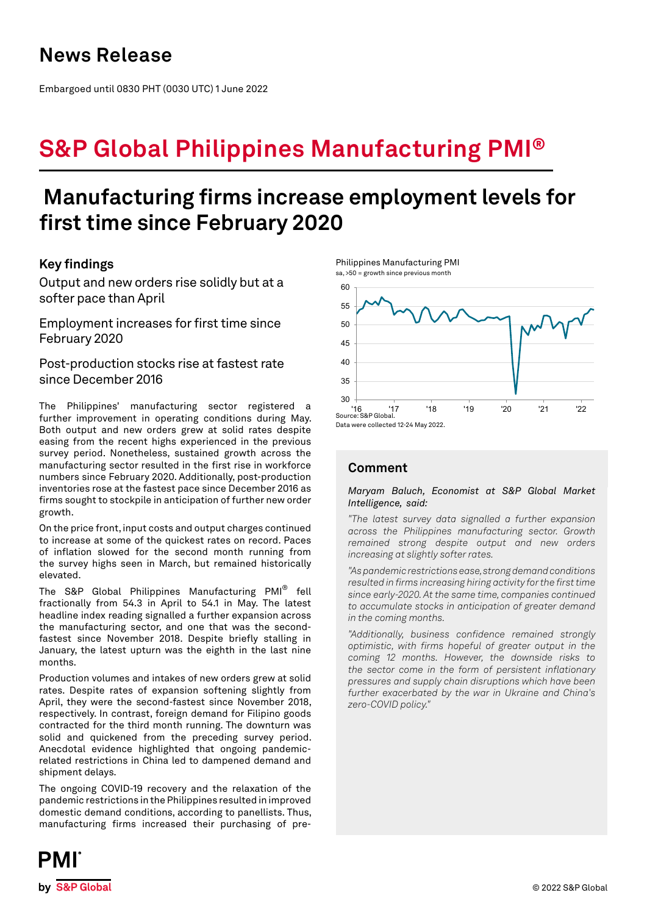Embargoed until 0830 PHT (0030 UTC) 1 June 2022

# **S&P Global Philippines Manufacturing PMI®**

## **Manufacturing firms increase employment levels for first time since February 2020**

## **Key findings**

Output and new orders rise solidly but at a softer pace than April

Employment increases for first time since February 2020

Post-production stocks rise at fastest rate since December 2016

The Philippines' manufacturing sector registered a further improvement in operating conditions during May. Both output and new orders grew at solid rates despite easing from the recent highs experienced in the previous survey period. Nonetheless, sustained growth across the manufacturing sector resulted in the first rise in workforce numbers since February 2020. Additionally, post-production inventories rose at the fastest pace since December 2016 as firms sought to stockpile in anticipation of further new order growth.

On the price front, input costs and output charges continued to increase at some of the quickest rates on record. Paces of inflation slowed for the second month running from the survey highs seen in March, but remained historically elevated.

The S&P Global Philippines Manufacturing PMI® fell fractionally from 54.3 in April to 54.1 in May. The latest headline index reading signalled a further expansion across the manufacturing sector, and one that was the secondfastest since November 2018. Despite briefly stalling in January, the latest upturn was the eighth in the last nine months.

Production volumes and intakes of new orders grew at solid rates. Despite rates of expansion softening slightly from April, they were the second-fastest since November 2018, respectively. In contrast, foreign demand for Filipino goods contracted for the third month running. The downturn was solid and quickened from the preceding survey period. Anecdotal evidence highlighted that ongoing pandemicrelated restrictions in China led to dampened demand and shipment delays.

The ongoing COVID-19 recovery and the relaxation of the pandemic restrictions in the Philippines resulted in improved domestic demand conditions, according to panellists. Thus, manufacturing firms increased their purchasing of pre-





Data were collected 12-24 May 2022.

## **Comment**

*Maryam Baluch, Economist at S&P Global Market Intelligence, said:* 

*"The latest survey data signalled a further expansion across the Philippines manufacturing sector. Growth remained strong despite output and new orders increasing at slightly softer rates.* 

*"As pandemic restrictions ease, strong demand conditions resulted in firms increasing hiring activity for the first time since early-2020. At the same time, companies continued to accumulate stocks in anticipation of greater demand in the coming months.*

*"Additionally, business confidence remained strongly optimistic, with firms hopeful of greater output in the coming 12 months. However, the downside risks to the sector come in the form of persistent inflationary pressures and supply chain disruptions which have been further exacerbated by the war in Ukraine and China's zero-COVID policy."*